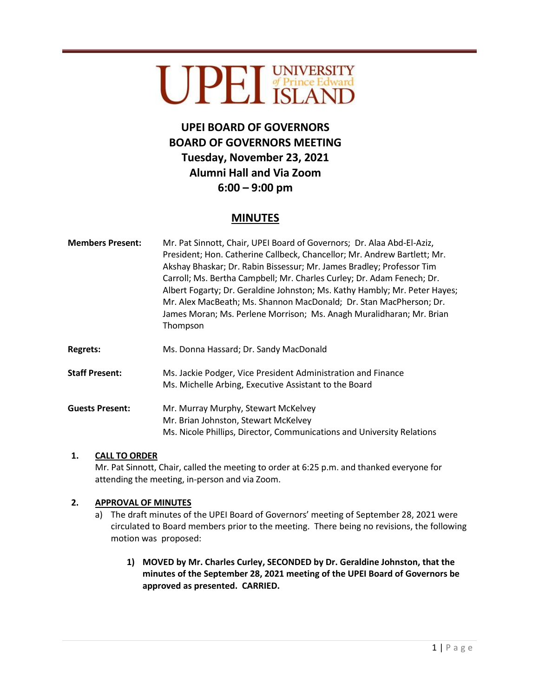# UPEI UNIVERSITY

## **UPEI BOARD OF GOVERNORS BOARD OF GOVERNORS MEETING Tuesday, November 23, 2021 Alumni Hall and Via Zoom 6:00 – 9:00 pm**

### **MINUTES**

| <b>Members Present:</b> | Mr. Pat Sinnott, Chair, UPEI Board of Governors; Dr. Alaa Abd-El-Aziz,<br>President; Hon. Catherine Callbeck, Chancellor; Mr. Andrew Bartlett; Mr.<br>Akshay Bhaskar; Dr. Rabin Bissessur; Mr. James Bradley; Professor Tim<br>Carroll; Ms. Bertha Campbell; Mr. Charles Curley; Dr. Adam Fenech; Dr.<br>Albert Fogarty; Dr. Geraldine Johnston; Ms. Kathy Hambly; Mr. Peter Hayes;<br>Mr. Alex MacBeath; Ms. Shannon MacDonald; Dr. Stan MacPherson; Dr.<br>James Moran; Ms. Perlene Morrison; Ms. Anagh Muralidharan; Mr. Brian<br>Thompson |
|-------------------------|-----------------------------------------------------------------------------------------------------------------------------------------------------------------------------------------------------------------------------------------------------------------------------------------------------------------------------------------------------------------------------------------------------------------------------------------------------------------------------------------------------------------------------------------------|
| <b>Regrets:</b>         | Ms. Donna Hassard; Dr. Sandy MacDonald                                                                                                                                                                                                                                                                                                                                                                                                                                                                                                        |
| <b>Staff Present:</b>   | Ms. Jackie Podger, Vice President Administration and Finance<br>Ms. Michelle Arbing, Executive Assistant to the Board                                                                                                                                                                                                                                                                                                                                                                                                                         |
| <b>Guests Present:</b>  | Mr. Murray Murphy, Stewart McKelvey<br>Mr. Brian Johnston, Stewart McKelvey<br>Ms. Nicole Phillips. Director. Communications and University Relations                                                                                                                                                                                                                                                                                                                                                                                         |

#### **1. CALL TO ORDER**

Mr. Pat Sinnott, Chair, called the meeting to order at 6:25 p.m. and thanked everyone for attending the meeting, in-person and via Zoom.

#### **2. APPROVAL OF MINUTES**

- a) The draft minutes of the UPEI Board of Governors' meeting of September 28, 2021 were circulated to Board members prior to the meeting. There being no revisions, the following motion was proposed:
	- **1) MOVED by Mr. Charles Curley, SECONDED by Dr. Geraldine Johnston, that the minutes of the September 28, 2021 meeting of the UPEI Board of Governors be approved as presented. CARRIED.**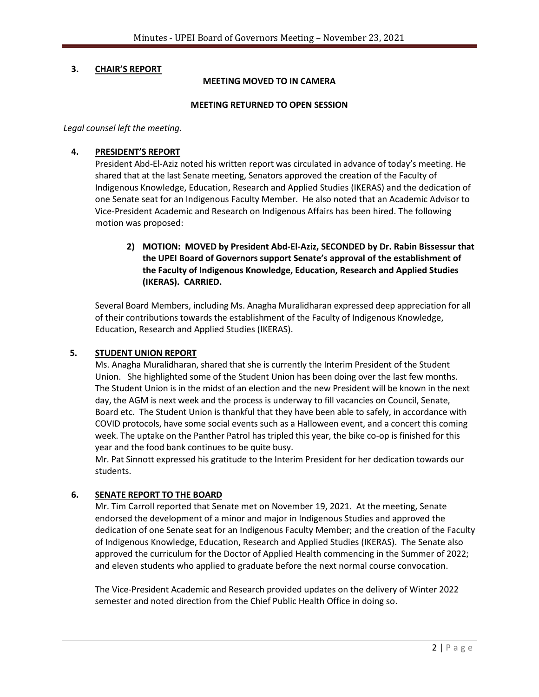#### **3. CHAIR'S REPORT**

#### **MEETING MOVED TO IN CAMERA**

#### **MEETING RETURNED TO OPEN SESSION**

*Legal counsel left the meeting.*

#### **4. PRESIDENT'S REPORT**

President Abd-El-Aziz noted his written report was circulated in advance of today's meeting. He shared that at the last Senate meeting, Senators approved the creation of the Faculty of Indigenous Knowledge, Education, Research and Applied Studies (IKERAS) and the dedication of one Senate seat for an Indigenous Faculty Member. He also noted that an Academic Advisor to Vice-President Academic and Research on Indigenous Affairs has been hired. The following motion was proposed:

**2) MOTION: MOVED by President Abd-El-Aziz, SECONDED by Dr. Rabin Bissessur that the UPEI Board of Governors support Senate's approval of the establishment of the Faculty of Indigenous Knowledge, Education, Research and Applied Studies (IKERAS). CARRIED.**

Several Board Members, including Ms. Anagha Muralidharan expressed deep appreciation for all of their contributions towards the establishment of the Faculty of Indigenous Knowledge, Education, Research and Applied Studies (IKERAS).

#### **5. STUDENT UNION REPORT**

Ms. Anagha Muralidharan, shared that she is currently the Interim President of the Student Union. She highlighted some of the Student Union has been doing over the last few months. The Student Union is in the midst of an election and the new President will be known in the next day, the AGM is next week and the process is underway to fill vacancies on Council, Senate, Board etc. The Student Union is thankful that they have been able to safely, in accordance with COVID protocols, have some social events such as a Halloween event, and a concert this coming week. The uptake on the Panther Patrol has tripled this year, the bike co-op is finished for this year and the food bank continues to be quite busy.

Mr. Pat Sinnott expressed his gratitude to the Interim President for her dedication towards our students.

#### **6. SENATE REPORT TO THE BOARD**

Mr. Tim Carroll reported that Senate met on November 19, 2021. At the meeting, Senate endorsed the development of a minor and major in Indigenous Studies and approved the dedication of one Senate seat for an Indigenous Faculty Member; and the creation of the Faculty of Indigenous Knowledge, Education, Research and Applied Studies (IKERAS). The Senate also approved the curriculum for the Doctor of Applied Health commencing in the Summer of 2022; and eleven students who applied to graduate before the next normal course convocation.

The Vice-President Academic and Research provided updates on the delivery of Winter 2022 semester and noted direction from the Chief Public Health Office in doing so.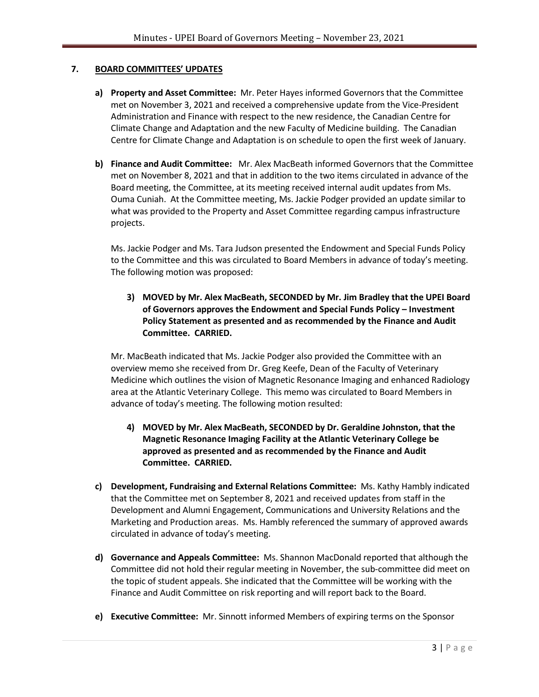#### **7. BOARD COMMITTEES' UPDATES**

- **a) Property and Asset Committee:** Mr. Peter Hayes informed Governors that the Committee met on November 3, 2021 and received a comprehensive update from the Vice-President Administration and Finance with respect to the new residence, the Canadian Centre for Climate Change and Adaptation and the new Faculty of Medicine building. The Canadian Centre for Climate Change and Adaptation is on schedule to open the first week of January.
- **b) Finance and Audit Committee:** Mr. Alex MacBeath informed Governors that the Committee met on November 8, 2021 and that in addition to the two items circulated in advance of the Board meeting, the Committee, at its meeting received internal audit updates from Ms. Ouma Cuniah. At the Committee meeting, Ms. Jackie Podger provided an update similar to what was provided to the Property and Asset Committee regarding campus infrastructure projects.

Ms. Jackie Podger and Ms. Tara Judson presented the Endowment and Special Funds Policy to the Committee and this was circulated to Board Members in advance of today's meeting. The following motion was proposed:

**3) MOVED by Mr. Alex MacBeath, SECONDED by Mr. Jim Bradley that the UPEI Board of Governors approves the Endowment and Special Funds Policy – Investment Policy Statement as presented and as recommended by the Finance and Audit Committee. CARRIED.**

Mr. MacBeath indicated that Ms. Jackie Podger also provided the Committee with an overview memo she received from Dr. Greg Keefe, Dean of the Faculty of Veterinary Medicine which outlines the vision of Magnetic Resonance Imaging and enhanced Radiology area at the Atlantic Veterinary College. This memo was circulated to Board Members in advance of today's meeting. The following motion resulted:

- **4) MOVED by Mr. Alex MacBeath, SECONDED by Dr. Geraldine Johnston, that the Magnetic Resonance Imaging Facility at the Atlantic Veterinary College be approved as presented and as recommended by the Finance and Audit Committee. CARRIED.**
- **c) Development, Fundraising and External Relations Committee:** Ms. Kathy Hambly indicated that the Committee met on September 8, 2021 and received updates from staff in the Development and Alumni Engagement, Communications and University Relations and the Marketing and Production areas. Ms. Hambly referenced the summary of approved awards circulated in advance of today's meeting.
- **d) Governance and Appeals Committee:** Ms. Shannon MacDonald reported that although the Committee did not hold their regular meeting in November, the sub-committee did meet on the topic of student appeals. She indicated that the Committee will be working with the Finance and Audit Committee on risk reporting and will report back to the Board.
- **e) Executive Committee:** Mr. Sinnott informed Members of expiring terms on the Sponsor